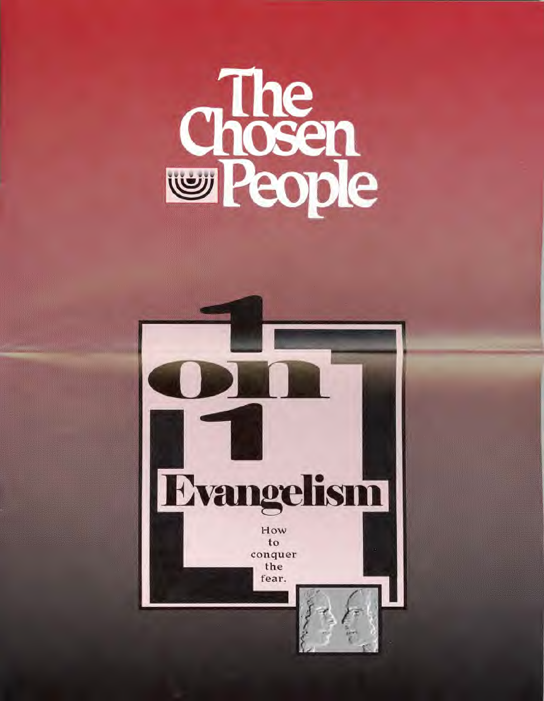# **Chosen**<br>The chosen

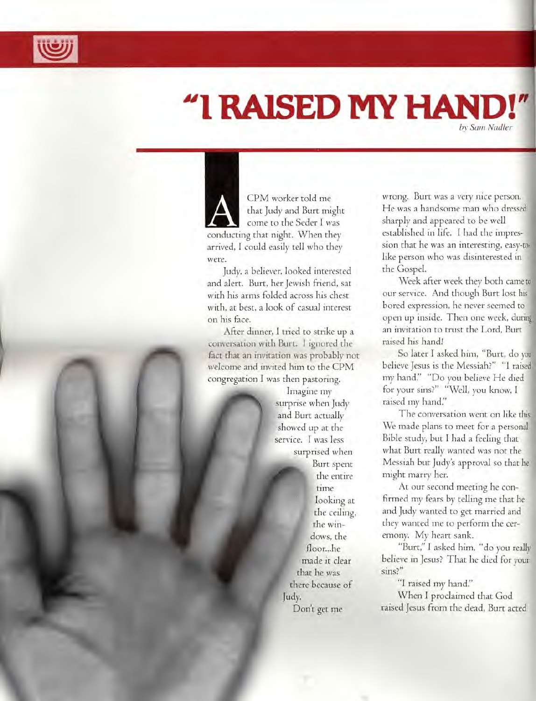

# "I RAISED MY HAND!" **•**  *by Sam Nadler*

CPM worker told me that Judy and Burt might come to the Seder I was conducting that night. When they arrived, I could easily tell who they were.

Judy, a believer, looked interested and alert. Burt, her Jewish friend, sat with his arms folded across his chest with, at best, a look of casual interest on his face.

After dinner, I tried to strike up a conversation with Burt. I ignored the fact that an invitation was probably not welcome and invited him to the CPM congregation I was then pastoring.

> Imagine my surprise when Judy and Burt actually showed up at the service. I was less surprised when Burt spent the entire rime looking at the ceiling, the windows, the floor...he made it dear that he was there because of Judy. Don't get me

wrong. Burt was a very nice person. He was a handsome man who dress sharply and appeared to be well established in life. I had the impression that he was an interesting, easylike person who was disinterested in the Gospel.

Week after week they both came our service. And though Burt lost bored expression, he never seemed to open up inside. Then one week, du an invitation to trust the Lord, Burt raised his hand!

So later I asked him, "Burt, do y believe Jesus is the Messiah?" "I rais my hand:' "Do you believe He died for your sins?" "Well, you know, I raised my hand:'

The conversation went on like this. We made plans to meet for a personal Bible study, but I had a feeling that what Burt really wanted was not the Messiah but Judy's approval so that h might marry her.

At our second meeting he confirmed my fears by telling me that he and Judy wanted to get married and they wanted me to perform the ceremony. My heart sank.

"Burt," I asked him, "do you reall believe in Jesus? That he died for yo sins?"

"I raised my hand:' When I prodaimed that God raised Jesus from the dead, Burt acted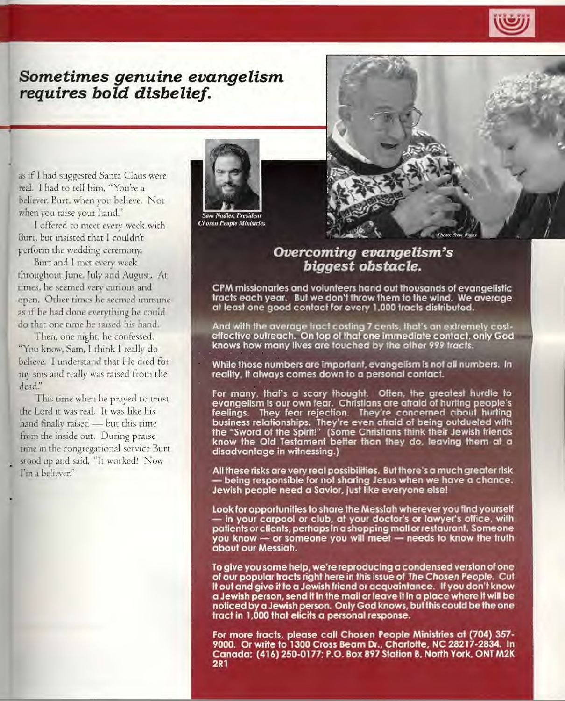

# *Sometimes genuine evangelism requires bold disbelief.*

as if I had suggested Santa Claus were real. I had to tell him, "You're a believer, Burt, when you believe. Not when you raise your hand."

I offered to meet every week with Burt, but insisted that I couldn't perform the wedding ceremony.

Burt and I met every week throughout June, July and August. At times, he seemed very curious and open. Other times he seemed immune as if he had done everything he could do that one time he raised his hand.

Then, one night, he confessed. "You know, Sam, I think I really do believe. I understand that He died for my sins and really was raised from the dead."

This time when he prayed to trust the Lord it was real. It was like his hand finally raised — but this time from the inside out. During praise time in the congregational service Burt stood up and said, "It worked! Now I'm a believer!'



Chosen People Ministries

# *Overcoming evangelism's biggest obstacle.*

CPM missionaries and volunteers hand out thousands of evangelistic tracts each year. But we don't throw them to the wind. We average at least one good contact for every 1,000 tracts distributed.

And with the average tract costing 7 cents, that's an extremely costeffective outreach. On top of that one immediate contact, only God knows how many lives are touched by the other 999 tracts.

While those numbers are important, evangelism is not all numbers. In reality, it always comes down to a personal contact.

For many, that's a scary thought. Often, the greatest hurdle to evangelism is our own fear. Christians are afraid of hurting people's feelings. They fear rejection. They're concerned about hurting business relationships. They're even afraid of being outdueled with the "Sword of the Spirit!" (Some Christians think their Jewish friends know the Old Testament better than they do, leaving them at a disadvantage in witnessing.)

All these risks are very real possibilities. But there's a much greater risk — being responsible for not sharing Jesus when we have a chance. Jewish people need a Savior, just like everyone else!

Look for opportunities to share the Messiah wherever you find yourself — in your carpool or club, at your doctor's or lawyer's office, with patients or clients, perhaps in a shopping mall or restaurant. Someone you know — or someone you will meet — needs to know the truth about our Messiah.

To give you some help, we're reproducing a condensed version of one of our popular tracts right here in this issue of The Chosen People. Cut it out and give it to a Jewish friend or acquaintance. If you don't know a Jewish person, send it in the mail or leave it in a place where it will be noticed by a Jewish person. Only God knows, but this could be the one tract in 1,000 that elicits a personal response.

For more tracts, please call Chosen People Ministries at (704) 357- 9000. Or write to 1300 Cross Beam Dr., Charlotte, NC 28217-2834. In Canada: (416) 250-0177; P.O. Box 897 Station B, North York, ONT M2K 2R1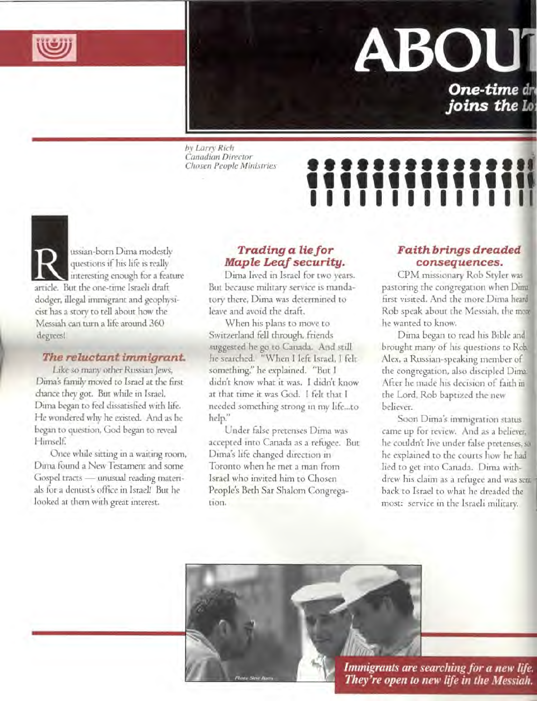

# **ABOl**

**One-time dr**  *joins the Lo* 

*by Larry Rich Canadian Director* 

# by Larry Rich<br>Canadian Director<br>Chosen People Ministries **2222222222222221 11111111111110 111111111111111**

ussian-born Dima modestly<br>questions if his life is really<br>article. But the one-time Israeli draft questions if his life is really interesting enough for a feature artide. But the one-time Israeli draft dodger, illegal immigrant and geophysicist has a story to tell about how the Messiah can turn a life around 360 degrees!

# *The reluctant immigrant.*

Like so many other Russian Jews, Dima's family moved to Israel at the first chance they got. But while in Israel, Dima began to feel dissatisfied with life. He wondered why he existed. And as he began to question, God began to reveal Himself.

Once while sitting in a waiting room, Dima found a New Testament and some Gospel tracts — unusual reading materials for a dentist's office in Israel! But he looked at them with great interest.

# *Trading a lie for Maple Leaf security.*

Dima lived in Israel for two years. But because military service is mandatory there, Dima was determined to leave and avoid the draft.

When his plans to move to Switzerland fell through, friends suggested he go to Canada. And still he searched. "When I left Israel, I felt something," he explained. "But I didn't know what it was. I didn't know at that time it was God. I felt that I needed something strong in my life...to help."

Under false pretenses Dima was accepted into Canada as a refugee. But Dima's life changed direction in Toronto when he met a man from Israel who invited him to Chosen People's Beth Sar Shalom Congregation.

# *Faith brings dreaded consequences.*

CPM missionary Rob Styler was pastoring the congregation when Dimi first visited. And the more Dima he Rob speak about the Messiah, the m he wanted to know.

Dima began to read his Bible an brought many of his questions to Ro<sup>l</sup> Alex, a Russian-speaking member of the congregation, also discipled Dim After he made his decision of faith the Lord, Rob baptized the new believer.

Soon Dima's immigration status came up for review. And as a believer, he couldn't live under false pretenses, he explained to the courts how he ha lied to get into Canada. Dima withdrew his claim as a refugee and was sent back to Israel to what he dreaded the most: service in the Israeli military.



Photo, Stre, Nurri

*Immigrants are searching for a new life. They're open to new life in the Messiah.*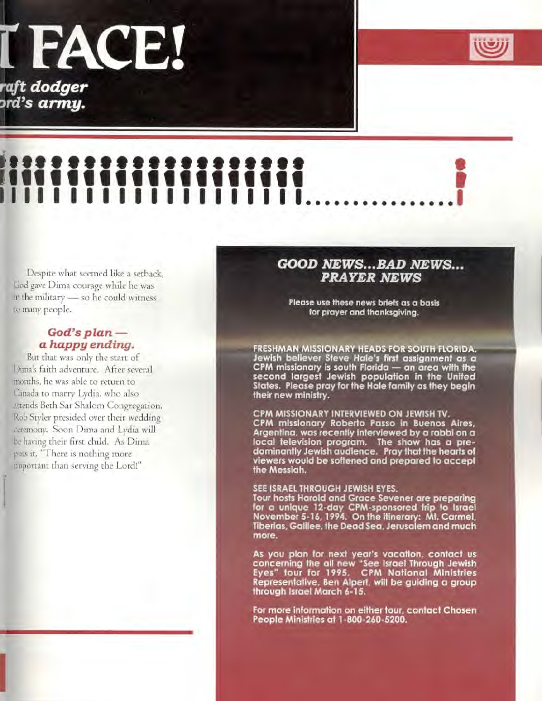# I FACE!

*aft* **dodger rd's army.** 



# I.... It If ,III I I I I I I I I I I I I I 1 I I I I I I I I I I I I I I I I I I I I I

Despite what seemed like a setback, God gave Dima courage while he was in the military — so he could witness to many people.

# *God's plan a happy ending.*

But that was only the start of Dima's faith adventure. After several months, he was able to return to Canada to marry Lydia, who also attends Beth Sar Shalom Congregation. Rob Styler presided over their wedding ceremony. Soon Dima and Lydia will be having their first child. As Dima puts it, "There is nothing more important than serving the Lord!"

# *GOOD NEWS...BAD NEWS... PRAYER NEWS*

Please use these news briefs as a basis for prayer and thanksgiving.

FRESHMAN MISSIONARY HEADS FOR SOUTH FLORIDA. Jewish believer Steve Hale's first assignment as a CPM missionary is south Florida — an area with the second largest Jewish population in the United States. Please pray for the Hale family as they begin their new ministry.

### CPM MISSIONARY INTERVIEWED ON JEWISH TV.

CPM missionary Roberto Passo in Buenos Aires, Argentina, was recently interviewed by a rabbi on a local television program. The show has a predominantly Jewish audience. Pray that the hearts of viewers would be softened and prepared to accept the Messiah.

### SEE ISRAEL THROUGH JEWISH EYES.

Tour hosts Harold and Grace Sevener are preparing for a unique 12-day CPM-sponsored trip to Israel November 5-16, 1994. On the itinerary: Mt. Carmel, Tiberias, Galilee, the Dead Sea, Jerusalem and much more.

As you plan for next year's vacation, contact us concerning the all new "See Israel Through Jewish Eyes" tour for 1995. CPM National Ministries Representative, Ben Alpert, will be guiding a group through Israel March 6-15.

For more information on either tour, contact Chosen People Ministries at 1-800-260-5200.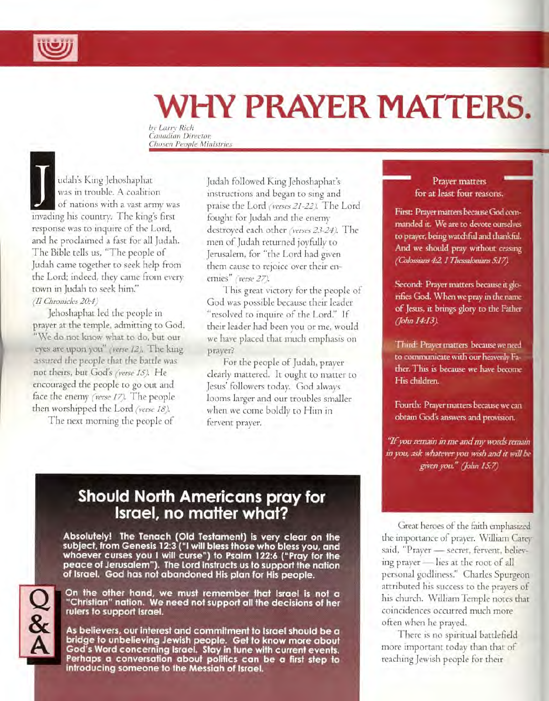

# **WHY PRAYER MATTERS.**

*by Larry Rich Canadian Director, Chosen People Ministries* 

udah's King Jehoshaphat was in trouble. A coalition of nations with a vast army was invading his country. The king's first response was to inquire of the Lord, and he proclaimed a fast for all Judah. The Bible tells us, "The people of Judah came together to seek help from the Lord; indeed, they came from every town in Judah to seek him." *(11 Chronicles 20:•4)* 

Jehoshaphat led the people in prayer at the temple, admitting to God, "We do not know what to do, but our eyes are upon you" *(verse 12).* The king assured the people that the battle was not theirs, but God's *(verse IS).* He encouraged the people to go out and face the enemy *(verse 17).* The people then worshipped the Lord *(verse 18).* 

The next morning the people of

Judah followed King Jehoshaphat's instructions and began to sing and praise the Lord *(verses 21-22).* The Lord fought for Judah and the enemy destroyed each other *(verses 23-24).* The men of Judah returned joyfully to Jerusalem, for "the Lord had given them cause to rejoice over their enemies" *(verse 27).* 

This great victory for the people of God was possible because their leader "resolved to inquire of the Lord." If their leader had been you or me, would we have placed that much emphasis on prayer?

For the people of Judah, prayer dearly mattered. It ought to matter to Jesus' followers today. God always looms larger and our troubles smaller when we come boldly to Him in fervent prayer.

## Prayer matters for at least four reasons.

First: Prayer matters because God commanded it. We are to devote ourselves to prayer, being watchful and thankful. And we should pray without ceasing *(Colossians 42,1 Thessalonians 5.•1*7,1

Second: Prayer matters because it glorifies God. When we pray in the name of Jesus, it brings glory to the Father *(John 14:•13).* 

Third: Prayer matters because we need to communicate with our heavenly Father. This is because we have become His children.

Fourth: Prayer matters because we can obtain God's answers and provision.

*"If you remain in me and my words remain in you, ask whatever you wish and it will be given you." (John 1S:7)* 

# **Should North Americans pray for Israel, no matter what?**

Absolutely! The Tenach (Old Testament) is very clear on the subject, from Genesis 12:3 ("I will bless those who bless you, and whoever curses you I will curse") to Psalm 122:6 ("Pray for the peace of Jerusalem"). The Lord instructs us to support the nation of Israel. God has not abandoned His plan for His people.



On the other hand, we must remember that Israel is not a "Christian" nation. We need not support all the decisions of her rulers to support Israel.

As believers, our interest and commitment to Israel should be a bridge to unbelieving Jewish people. Get to know more about God's Word concerning Israel. Stay in tune with current events. Perhaps a conversation about politics can be a first step to introducing someone to the Messiah of Israel.

Great heroes of the faith emphasized the importance of prayer. William Carey said, "Prayer — secret, fervent, believing prayer — lies at the root of all personal godliness:' Charles Spurgeon attributed his success to the prayers of his church. William Temple notes that coincidences occurred much more often when he prayed.

There is no spiritual battlefield more important today than that of reaching Jewish people for their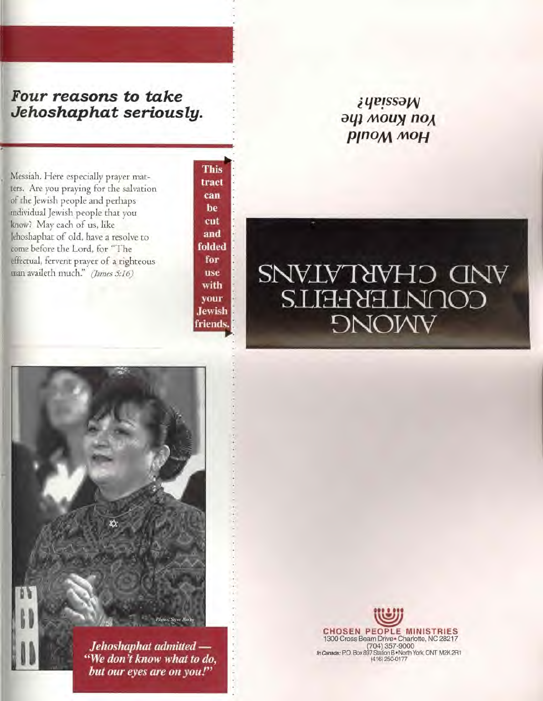# *Four reasons to take Jehoshaphat seriously.*

Messiah. Here especially prayer matters. Are you praying for the salvation of the Jewish people and perhaps individual Jewish people that you know? May each of us, like Jehoshaphat of old, have a resolve to come before the Lord, for "The effectual, fervent prayer of a righteous<br>man availeth much." (James 5:16)

This tract can be cut and folded for use with your Jewish friends.

# *qE ssa*  **ay)** *mouy* not **p**<sub>mo</sub><sub>M</sub>  $M$

# man availeth much." (James 5:16) CONNIEKHEILS **DNOWY**